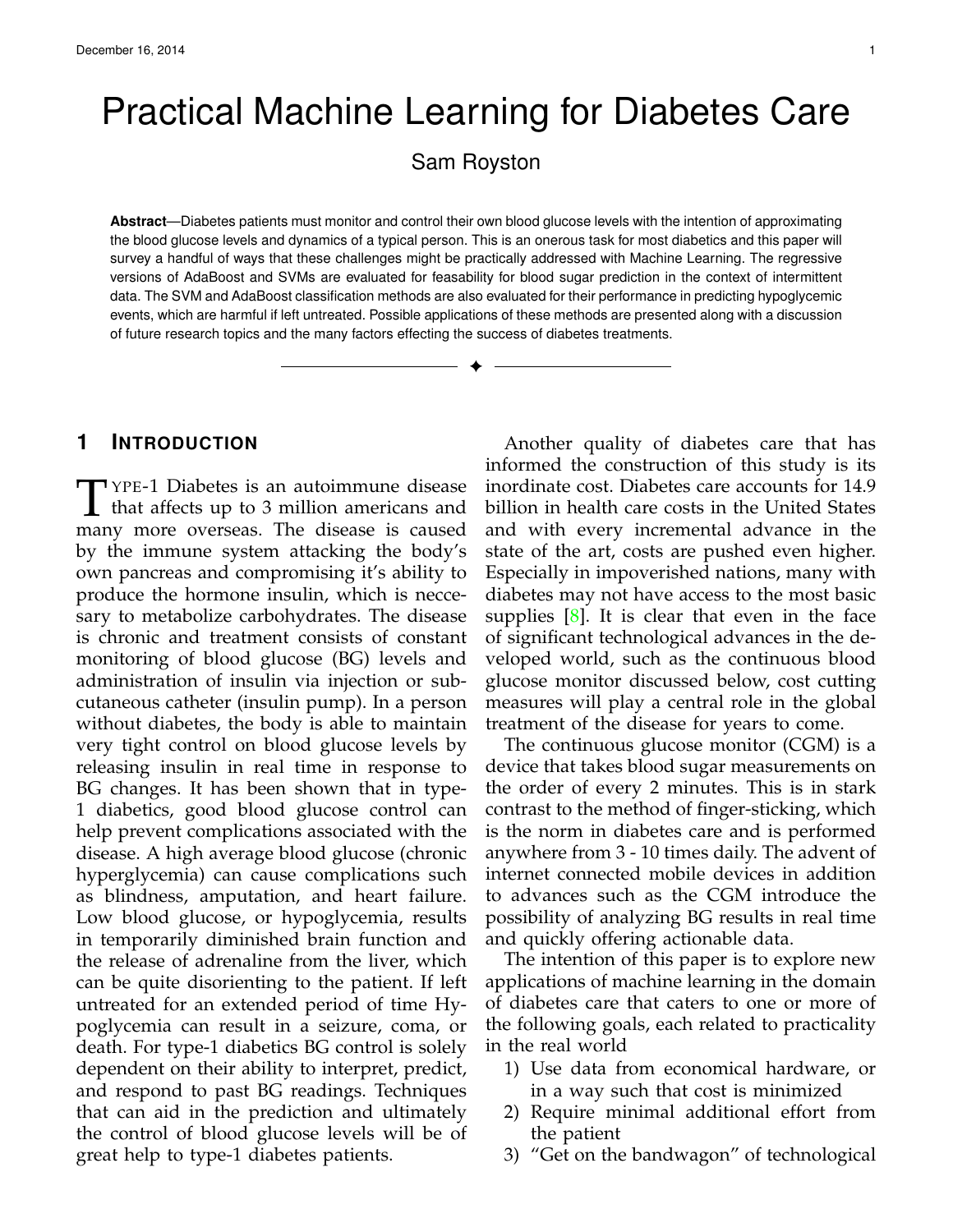# Practical Machine Learning for Diabetes Care

Sam Royston

**Abstract**—Diabetes patients must monitor and control their own blood glucose levels with the intention of approximating the blood glucose levels and dynamics of a typical person. This is an onerous task for most diabetics and this paper will survey a handful of ways that these challenges might be practically addressed with Machine Learning. The regressive versions of AdaBoost and SVMs are evaluated for feasability for blood sugar prediction in the context of intermittent data. The SVM and AdaBoost classification methods are also evaluated for their performance in predicting hypoglycemic events, which are harmful if left untreated. Possible applications of these methods are presented along with a discussion of future research topics and the many factors effecting the success of diabetes treatments.

✦

## **1 INTRODUCTION**

T YPE-1 Diabetes is an autoimmune disease<br>that affects up to 3 million americans and<br>many more overseas. The disease is caused YPE-1 Diabetes is an autoimmune disease many more overseas. The disease is caused by the immune system attacking the body's own pancreas and compromising it's ability to produce the hormone insulin, which is neccesary to metabolize carbohydrates. The disease is chronic and treatment consists of constant monitoring of blood glucose (BG) levels and administration of insulin via injection or subcutaneous catheter (insulin pump). In a person without diabetes, the body is able to maintain very tight control on blood glucose levels by releasing insulin in real time in response to BG changes. It has been shown that in type-1 diabetics, good blood glucose control can help prevent complications associated with the disease. A high average blood glucose (chronic hyperglycemia) can cause complications such as blindness, amputation, and heart failure. Low blood glucose, or hypoglycemia, results in temporarily diminished brain function and the release of adrenaline from the liver, which can be quite disorienting to the patient. If left untreated for an extended period of time Hypoglycemia can result in a seizure, coma, or death. For type-1 diabetics BG control is solely dependent on their ability to interpret, predict, and respond to past BG readings. Techniques that can aid in the prediction and ultimately the control of blood glucose levels will be of great help to type-1 diabetes patients.

Another quality of diabetes care that has informed the construction of this study is its inordinate cost. Diabetes care accounts for 14.9 billion in health care costs in the United States and with every incremental advance in the state of the art, costs are pushed even higher. Especially in impoverished nations, many with diabetes may not have access to the most basic supplies  $[8]$ . It is clear that even in the face of significant technological advances in the developed world, such as the continuous blood glucose monitor discussed below, cost cutting measures will play a central role in the global treatment of the disease for years to come.

The continuous glucose monitor (CGM) is a device that takes blood sugar measurements on the order of every 2 minutes. This is in stark contrast to the method of finger-sticking, which is the norm in diabetes care and is performed anywhere from 3 - 10 times daily. The advent of internet connected mobile devices in addition to advances such as the CGM introduce the possibility of analyzing BG results in real time and quickly offering actionable data.

The intention of this paper is to explore new applications of machine learning in the domain of diabetes care that caters to one or more of the following goals, each related to practicality in the real world

- 1) Use data from economical hardware, or in a way such that cost is minimized
- 2) Require minimal additional effort from the patient
- 3) "Get on the bandwagon" of technological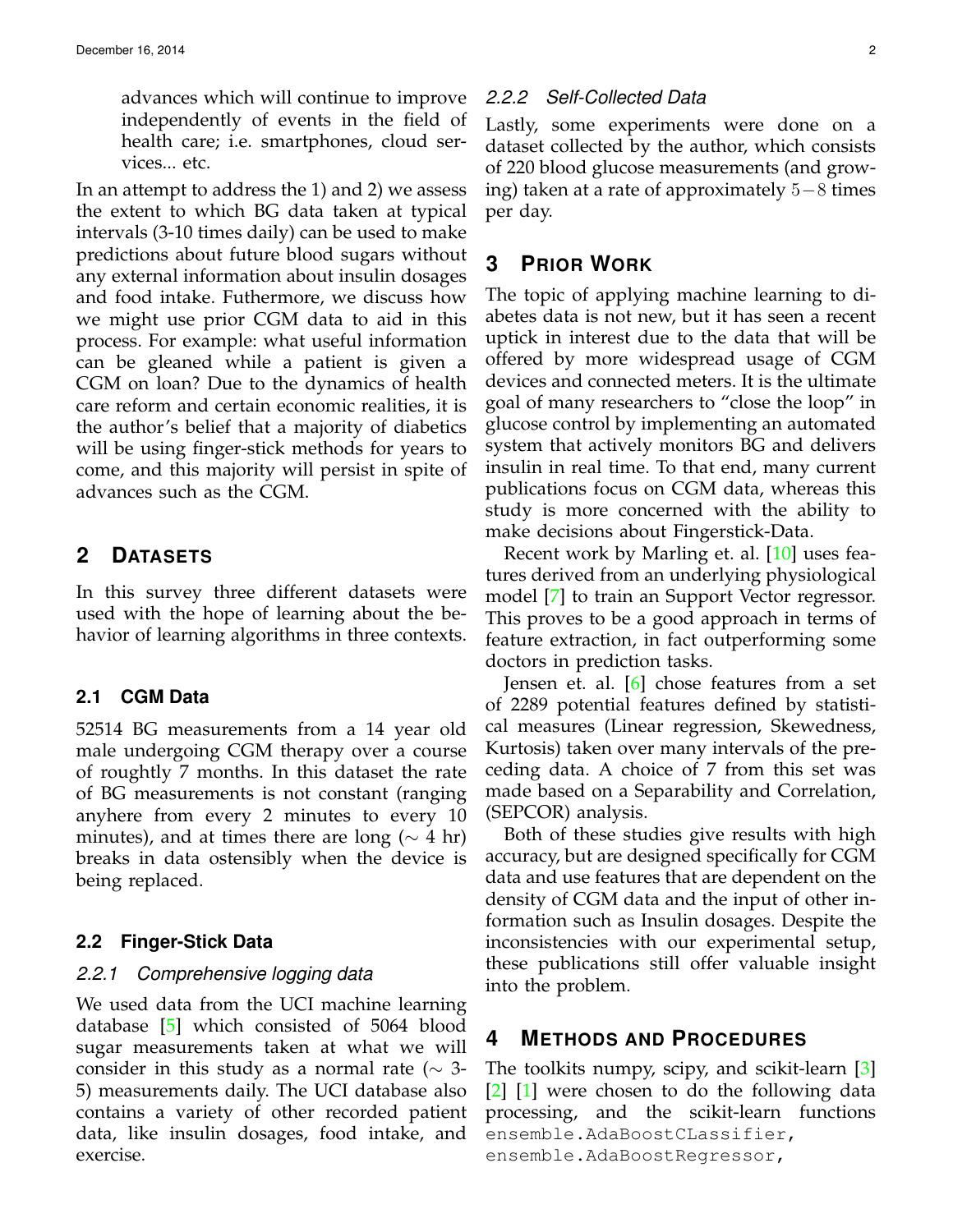advances which will continue to improve independently of events in the field of health care; i.e. smartphones, cloud services... etc.

In an attempt to address the 1) and 2) we assess the extent to which BG data taken at typical intervals (3-10 times daily) can be used to make predictions about future blood sugars without any external information about insulin dosages and food intake. Futhermore, we discuss how we might use prior CGM data to aid in this process. For example: what useful information can be gleaned while a patient is given a CGM on loan? Due to the dynamics of health care reform and certain economic realities, it is the author's belief that a majority of diabetics will be using finger-stick methods for years to come, and this majority will persist in spite of advances such as the CGM.

## **2 DATASETS**

In this survey three different datasets were used with the hope of learning about the behavior of learning algorithms in three contexts.

#### **2.1 CGM Data**

52514 BG measurements from a 14 year old male undergoing CGM therapy over a course of roughtly 7 months. In this dataset the rate of BG measurements is not constant (ranging anyhere from every 2 minutes to every 10 minutes), and at times there are long ( $\sim$  4 hr) breaks in data ostensibly when the device is being replaced.

#### **2.2 Finger-Stick Data**

## *2.2.1 Comprehensive logging data*

We used data from the UCI machine learning database [\[5\]](#page-7-1) which consisted of 5064 blood sugar measurements taken at what we will consider in this study as a normal rate ( $\sim$  3-5) measurements daily. The UCI database also contains a variety of other recorded patient data, like insulin dosages, food intake, and exercise.

#### *2.2.2 Self-Collected Data*

Lastly, some experiments were done on a dataset collected by the author, which consists of 220 blood glucose measurements (and growing) taken at a rate of approximately 5−8 times per day.

## **3 PRIOR WORK**

The topic of applying machine learning to diabetes data is not new, but it has seen a recent uptick in interest due to the data that will be offered by more widespread usage of CGM devices and connected meters. It is the ultimate goal of many researchers to "close the loop" in glucose control by implementing an automated system that actively monitors BG and delivers insulin in real time. To that end, many current publications focus on CGM data, whereas this study is more concerned with the ability to make decisions about Fingerstick-Data.

Recent work by Marling et. al. [\[10\]](#page-7-2) uses features derived from an underlying physiological model [\[7\]](#page-7-3) to train an Support Vector regressor. This proves to be a good approach in terms of feature extraction, in fact outperforming some doctors in prediction tasks.

Jensen et. al. [\[6\]](#page-7-4) chose features from a set of 2289 potential features defined by statistical measures (Linear regression, Skewedness, Kurtosis) taken over many intervals of the preceding data. A choice of 7 from this set was made based on a Separability and Correlation, (SEPCOR) analysis.

Both of these studies give results with high accuracy, but are designed specifically for CGM data and use features that are dependent on the density of CGM data and the input of other information such as Insulin dosages. Despite the inconsistencies with our experimental setup, these publications still offer valuable insight into the problem.

#### **4 METHODS AND PROCEDURES**

The toolkits numpy, scipy, and scikit-learn [\[3\]](#page-7-5) [\[2\]](#page-7-6) [\[1\]](#page-7-7) were chosen to do the following data processing, and the scikit-learn functions ensemble.AdaBoostCLassifier, ensemble.AdaBoostRegressor,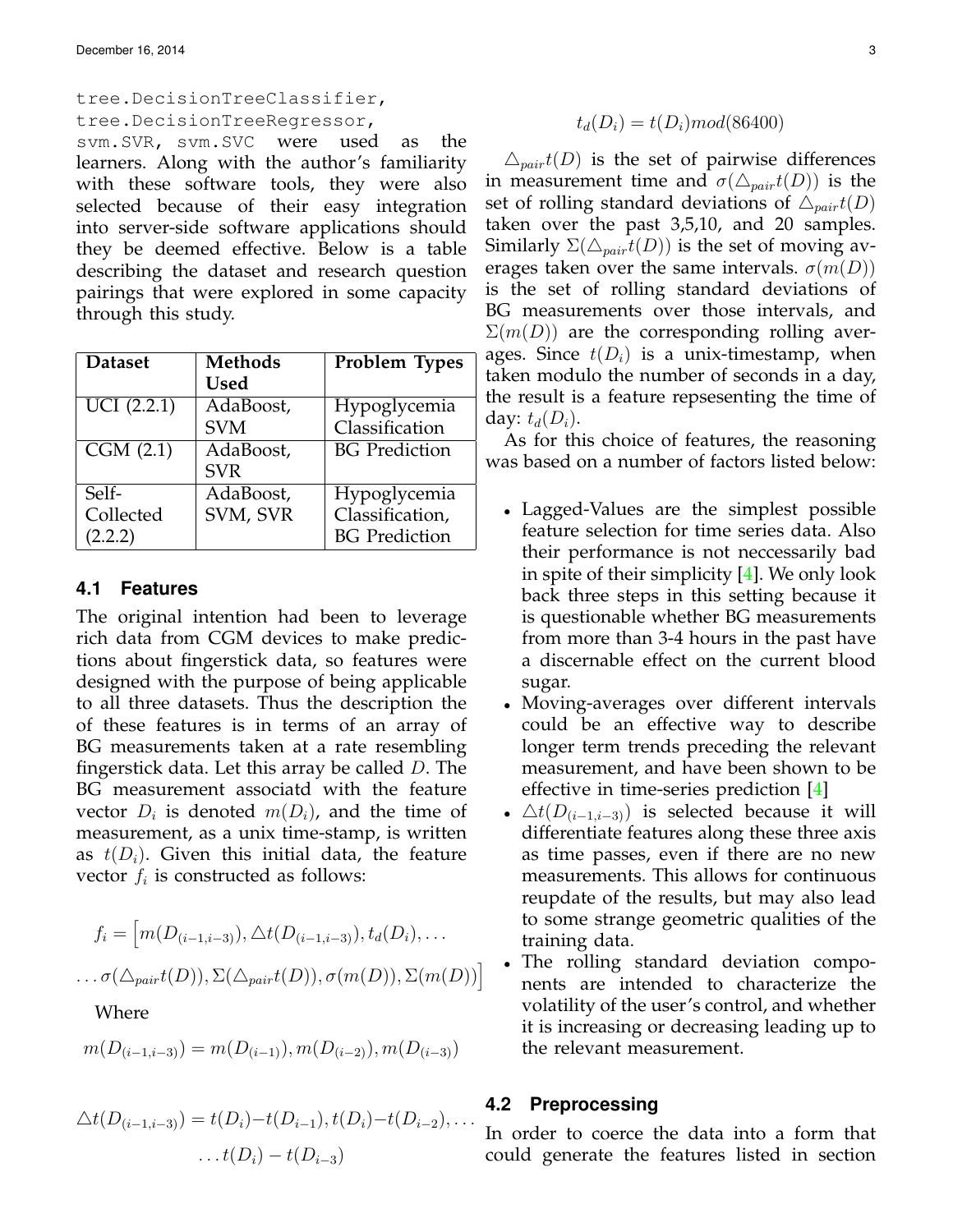## tree.DecisionTreeClassifier, tree.DecisionTreeRegressor, svm.SVR, svm.SVC were used as the learners. Along with the author's familiarity with these software tools, they were also selected because of their easy integration into server-side software applications should they be deemed effective. Below is a table describing the dataset and research question pairings that were explored in some capacity through this study.

| <b>Dataset</b>     | <b>Methods</b> | Problem Types        |
|--------------------|----------------|----------------------|
|                    | <b>Used</b>    |                      |
| $U\bar{C}I(2.2.1)$ | AdaBoost,      | Hypoglycemia         |
|                    | <b>SVM</b>     | Classification       |
| CGM(2.1)           | AdaBoost,      | <b>BG</b> Prediction |
|                    | <b>SVR</b>     |                      |
| $Self-$            | AdaBoost,      | Hypoglycemia         |
| Collected          | SVM, SVR       | Classification,      |
| (2.2.2)            |                | <b>BG</b> Prediction |

#### **4.1 Features**

The original intention had been to leverage rich data from CGM devices to make predictions about fingerstick data, so features were designed with the purpose of being applicable to all three datasets. Thus the description the of these features is in terms of an array of BG measurements taken at a rate resembling fingerstick data. Let this array be called D. The BG measurement associatd with the feature vector  $D_i$  is denoted  $m(D_i)$ , and the time of measurement, as a unix time-stamp, is written as  $t(D_i)$ . Given this initial data, the feature vector  $f_i$  is constructed as follows:

$$
f_i = [m(D_{(i-1,i-3)}), \triangle t(D_{(i-1,i-3)}), t_d(D_i), \dots
$$

$$
\dots \sigma(\triangle_{pair} t(D)), \Sigma(\triangle_{pair} t(D)), \sigma(m(D)), \Sigma(m(D))]
$$

#### Where

$$
m(D_{(i-1,i-3)}) = m(D_{(i-1)}), m(D_{(i-2)}), m(D_{(i-3)})
$$

$$
\Delta t(D_{(i-1,i-3)}) = t(D_i) - t(D_{i-1}), t(D_i) - t(D_{i-2}), \dots
$$

$$
\dots t(D_i) - t(D_{i-3})
$$

$$
t_d(D_i) = t(D_i) \mod (86400)
$$

 $\triangle_{pair}t(D)$  is the set of pairwise differences in measurement time and  $\sigma(\Delta_{pair}t(D))$  is the set of rolling standard deviations of  $\triangle_{pair}t(D)$ taken over the past 3,5,10, and 20 samples. Similarly  $\Sigma(\Delta_{pair}t(D))$  is the set of moving averages taken over the same intervals.  $\sigma(m(D))$ is the set of rolling standard deviations of BG measurements over those intervals, and  $\Sigma(m(D))$  are the corresponding rolling averages. Since  $t(D_i)$  is a unix-timestamp, when taken modulo the number of seconds in a day, the result is a feature repsesenting the time of day:  $t_d(D_i)$ .

As for this choice of features, the reasoning was based on a number of factors listed below:

- Lagged-Values are the simplest possible feature selection for time series data. Also their performance is not neccessarily bad in spite of their simplicity [\[4\]](#page-7-8). We only look back three steps in this setting because it is questionable whether BG measurements from more than 3-4 hours in the past have a discernable effect on the current blood sugar.
- Moving-averages over different intervals could be an effective way to describe longer term trends preceding the relevant measurement, and have been shown to be effective in time-series prediction [\[4\]](#page-7-8)
- $\Delta t(D_{(i-1,i-3)})$  is selected because it will differentiate features along these three axis as time passes, even if there are no new measurements. This allows for continuous reupdate of the results, but may also lead to some strange geometric qualities of the training data.
- The rolling standard deviation components are intended to characterize the volatility of the user's control, and whether it is increasing or decreasing leading up to the relevant measurement.

#### **4.2 Preprocessing**

In order to coerce the data into a form that could generate the features listed in section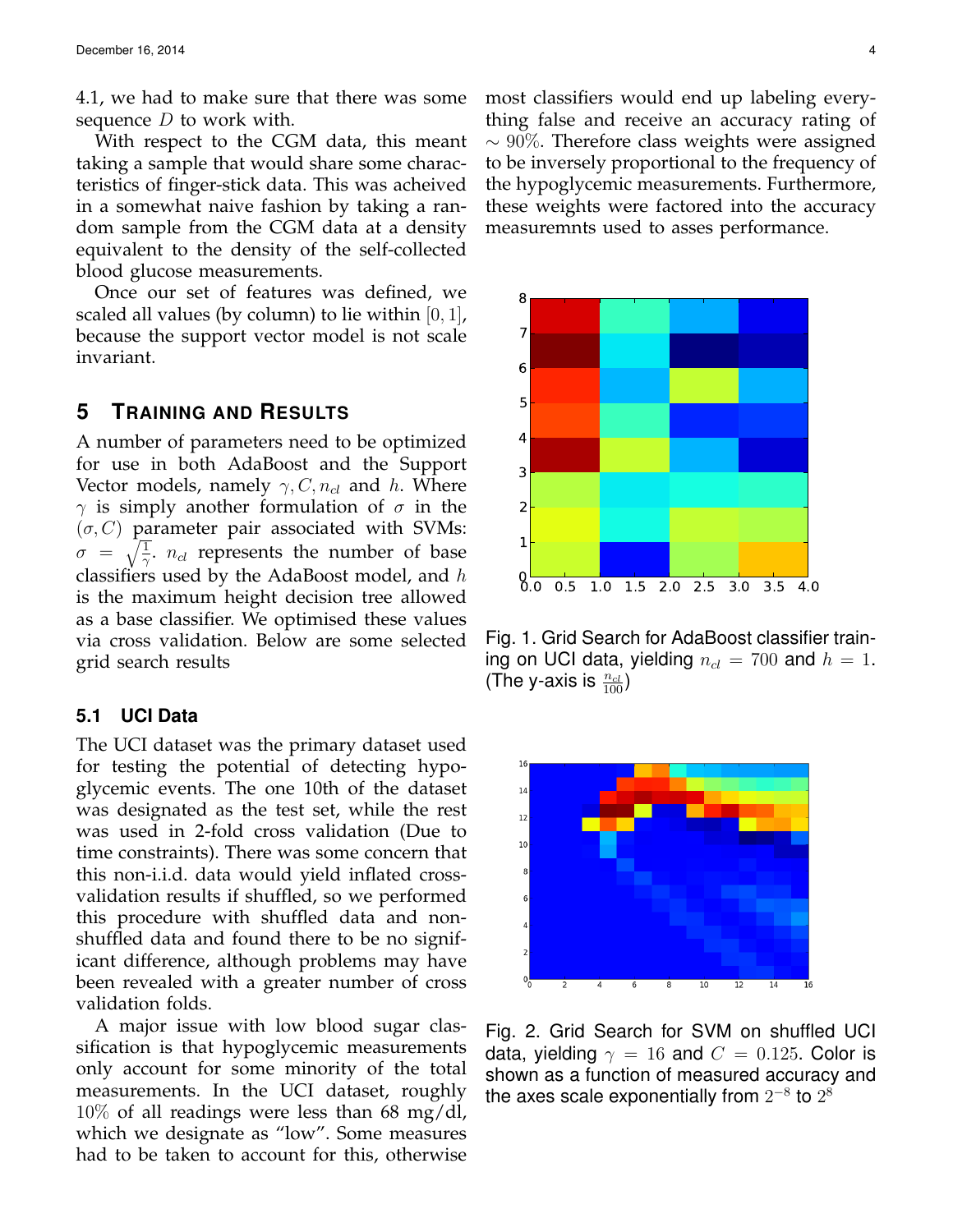4.1, we had to make sure that there was some sequence  $D$  to work with.

With respect to the CGM data, this meant taking a sample that would share some characteristics of finger-stick data. This was acheived in a somewhat naive fashion by taking a random sample from the CGM data at a density equivalent to the density of the self-collected blood glucose measurements.

Once our set of features was defined, we scaled all values (by column) to lie within  $[0, 1]$ , because the support vector model is not scale invariant.

## **5 TRAINING AND RESULTS**

A number of parameters need to be optimized for use in both AdaBoost and the Support Vector models, namely  $\gamma$ ,  $C$ ,  $n_{cl}$  and h. Where  $\gamma$  is simply another formulation of  $\sigma$  in the  $(\sigma, C)$  parameter pair associated with SVMs:  $\sigma = \sqrt{\frac{1}{\gamma}}$ .  $n_{cl}$  represents the number of base classifiers used by the AdaBoost model, and  $h$ is the maximum height decision tree allowed as a base classifier. We optimised these values via cross validation. Below are some selected grid search results

#### **5.1 UCI Data**

The UCI dataset was the primary dataset used for testing the potential of detecting hypoglycemic events. The one 10th of the dataset was designated as the test set, while the rest was used in 2-fold cross validation (Due to time constraints). There was some concern that this non-i.i.d. data would yield inflated crossvalidation results if shuffled, so we performed this procedure with shuffled data and nonshuffled data and found there to be no significant difference, although problems may have been revealed with a greater number of cross validation folds.

A major issue with low blood sugar classification is that hypoglycemic measurements only account for some minority of the total measurements. In the UCI dataset, roughly 10% of all readings were less than 68 mg/dl, which we designate as "low". Some measures had to be taken to account for this, otherwise most classifiers would end up labeling everything false and receive an accuracy rating of  $\sim$  90%. Therefore class weights were assigned to be inversely proportional to the frequency of the hypoglycemic measurements. Furthermore, these weights were factored into the accuracy measuremnts used to asses performance.



Fig. 1. Grid Search for AdaBoost classifier training on UCI data, yielding  $n_{cl} = 700$  and  $h = 1$ . (The y-axis is  $\frac{n_{cl}}{100}$ )



Fig. 2. Grid Search for SVM on shuffled UCI data, yielding  $\gamma = 16$  and  $C = 0.125$ . Color is shown as a function of measured accuracy and the axes scale exponentially from  $2^{-8}$  to  $2^8$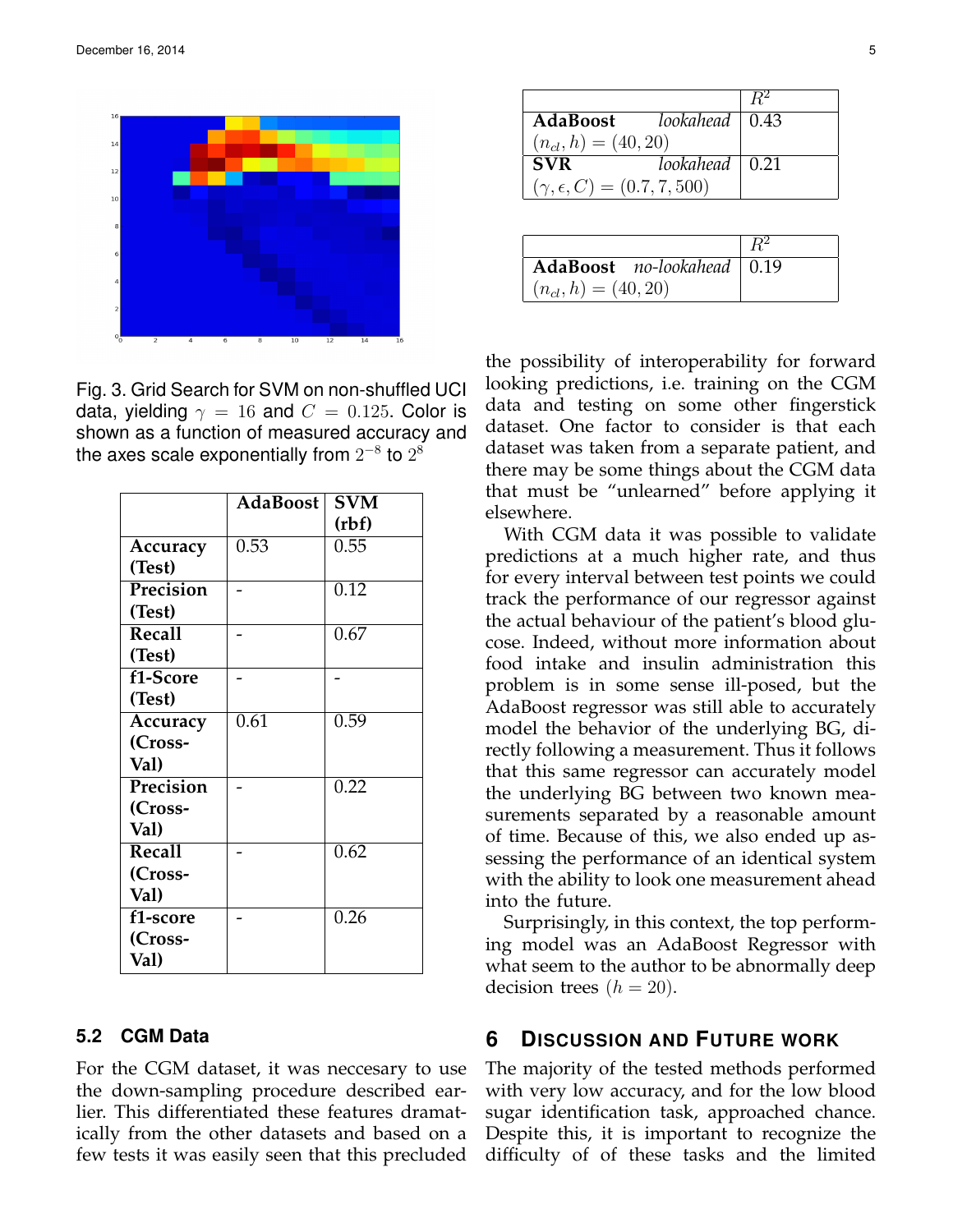

Fig. 3. Grid Search for SVM on non-shuffled UCI data, yielding  $\gamma = 16$  and  $C = 0.125$ . Color is shown as a function of measured accuracy and the axes scale exponentially from  $2^{-8}$  to  $2^8$ 

|               | <b>AdaBoost</b> | <b>SVM</b> |
|---------------|-----------------|------------|
|               |                 | (rbf)      |
| Accuracy      | 0.53            | 0.55       |
| (Test)        |                 |            |
| Precision     |                 | 0.12       |
| (Test)        |                 |            |
| <b>Recall</b> |                 | 0.67       |
| (Test)        |                 |            |
| f1-Score      |                 |            |
| (Test)        |                 |            |
| Accuracy      | 0.61            | 0.59       |
| (Cross-       |                 |            |
| Val)          |                 |            |
| Precision     |                 | 0.22       |
| (Cross-       |                 |            |
| Val)          |                 |            |
| <b>Recall</b> |                 | 0.62       |
| (Cross-       |                 |            |
| Val)          |                 |            |
| f1-score      |                 | 0.26       |
| (Cross-       |                 |            |
| Val)          |                 |            |

### **5.2 CGM Data**

For the CGM dataset, it was neccesary to use the down-sampling procedure described earlier. This differentiated these features dramatically from the other datasets and based on a few tests it was easily seen that this precluded

| AdaBoost lookahead   0.43               |                        |  |
|-----------------------------------------|------------------------|--|
| $(n_{cl}, h) = (40, 20)$                |                        |  |
| <b>SVR</b>                              | lookahead $\vert 0.21$ |  |
| $(\gamma, \epsilon, C) = (0.7, 7, 500)$ |                        |  |

| AdaBoost no-lookahead   0.19 |  |
|------------------------------|--|
| $(n_{cl}, h) = (40, 20)$     |  |

the possibility of interoperability for forward looking predictions, i.e. training on the CGM data and testing on some other fingerstick dataset. One factor to consider is that each dataset was taken from a separate patient, and there may be some things about the CGM data that must be "unlearned" before applying it elsewhere.

With CGM data it was possible to validate predictions at a much higher rate, and thus for every interval between test points we could track the performance of our regressor against the actual behaviour of the patient's blood glucose. Indeed, without more information about food intake and insulin administration this problem is in some sense ill-posed, but the AdaBoost regressor was still able to accurately model the behavior of the underlying BG, directly following a measurement. Thus it follows that this same regressor can accurately model the underlying BG between two known measurements separated by a reasonable amount of time. Because of this, we also ended up assessing the performance of an identical system with the ability to look one measurement ahead into the future.

Surprisingly, in this context, the top performing model was an AdaBoost Regressor with what seem to the author to be abnormally deep decision trees  $(h = 20)$ .

## **6 DISCUSSION AND FUTURE WORK**

The majority of the tested methods performed with very low accuracy, and for the low blood sugar identification task, approached chance. Despite this, it is important to recognize the difficulty of of these tasks and the limited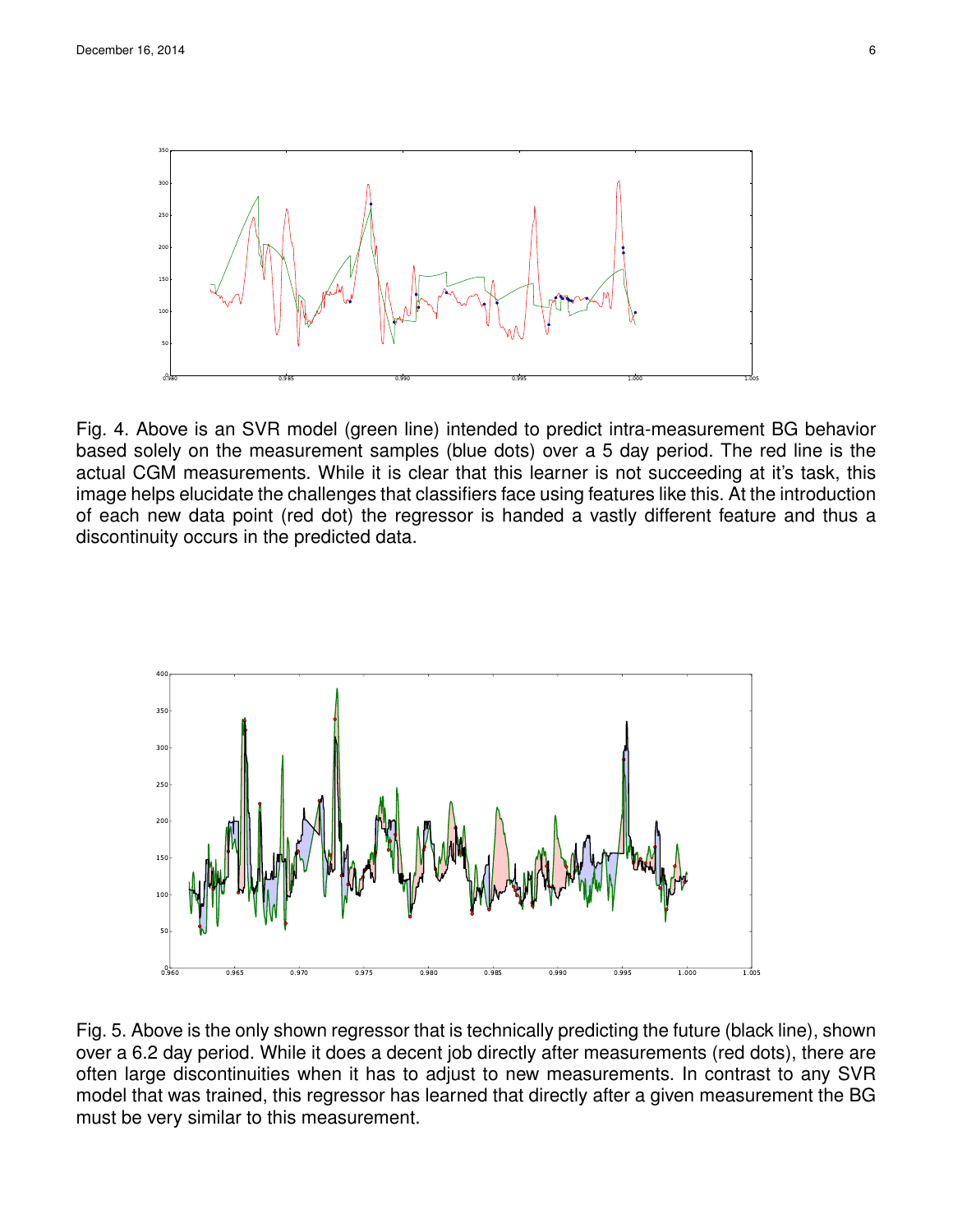

Fig. 4. Above is an SVR model (green line) intended to predict intra-measurement BG behavior based solely on the measurement samples (blue dots) over a 5 day period. The red line is the actual CGM measurements. While it is clear that this learner is not succeeding at it's task, this image helps elucidate the challenges that classifiers face using features like this. At the introduction of each new data point (red dot) the regressor is handed a vastly different feature and thus a discontinuity occurs in the predicted data.



Fig. 5. Above is the only shown regressor that is technically predicting the future (black line), shown over a 6.2 day period. While it does a decent job directly after measurements (red dots), there are often large discontinuities when it has to adjust to new measurements. In contrast to any SVR model that was trained, this regressor has learned that directly after a given measurement the BG must be very similar to this measurement.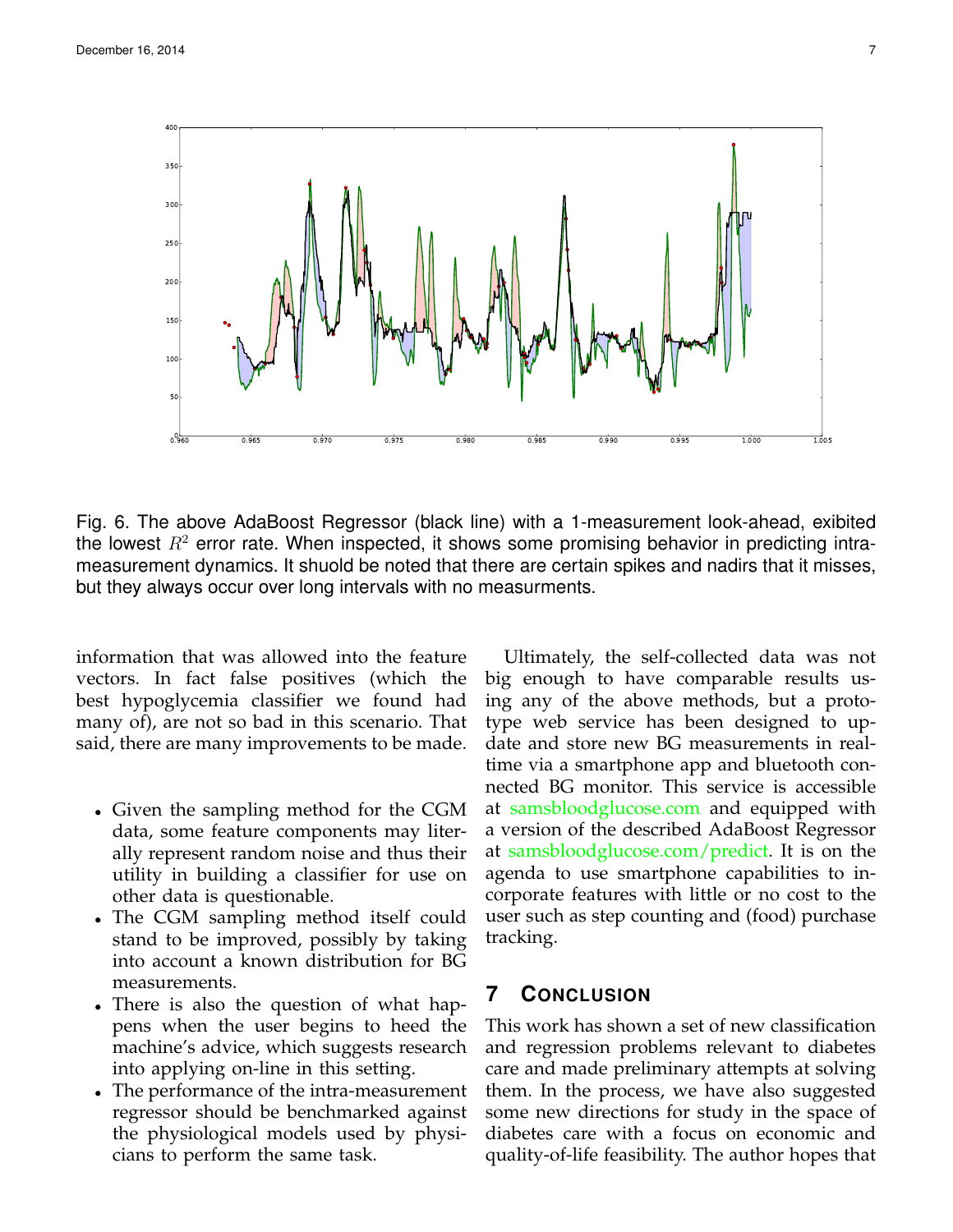

Fig. 6. The above AdaBoost Regressor (black line) with a 1-measurement look-ahead, exibited the lowest  $R<sup>2</sup>$  error rate. When inspected, it shows some promising behavior in predicting intrameasurement dynamics. It shuold be noted that there are certain spikes and nadirs that it misses, but they always occur over long intervals with no measurments.

information that was allowed into the feature vectors. In fact false positives (which the best hypoglycemia classifier we found had many of), are not so bad in this scenario. That said, there are many improvements to be made.

- Given the sampling method for the CGM data, some feature components may literally represent random noise and thus their utility in building a classifier for use on other data is questionable.
- The CGM sampling method itself could stand to be improved, possibly by taking into account a known distribution for BG measurements.
- There is also the question of what happens when the user begins to heed the machine's advice, which suggests research into applying on-line in this setting.
- The performance of the intra-measurement regressor should be benchmarked against the physiological models used by physicians to perform the same task.

Ultimately, the self-collected data was not big enough to have comparable results using any of the above methods, but a prototype web service has been designed to update and store new BG measurements in realtime via a smartphone app and bluetooth connected BG monitor. This service is accessible at <samsbloodglucose.com> and equipped with a version of the described AdaBoost Regressor at [samsbloodglucose.com/predict.](samsbloodglucose.com/predict) It is on the agenda to use smartphone capabilities to incorporate features with little or no cost to the user such as step counting and (food) purchase tracking.

## **7 CONCLUSION**

This work has shown a set of new classification and regression problems relevant to diabetes care and made preliminary attempts at solving them. In the process, we have also suggested some new directions for study in the space of diabetes care with a focus on economic and quality-of-life feasibility. The author hopes that